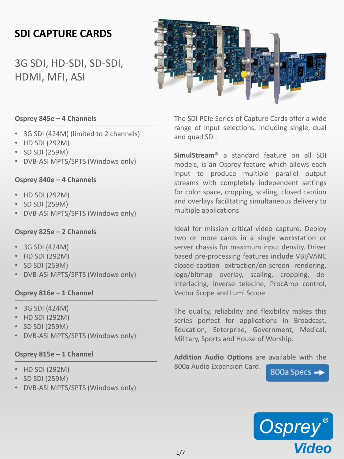## **SDI CAPTURE CARDS**

3G SDI, HD-SDI, SD-SDI, HDMI, MFI, ASI



### **Osprey 845e – 4 Channels** \_\_\_\_\_\_\_\_\_\_\_\_\_\_\_\_\_\_\_\_\_\_\_\_\_\_\_\_\_\_\_\_\_\_\_\_\_\_\_\_\_\_\_\_\_\_\_\_\_\_\_\_\_\_\_\_

- 3G SDI (424M) (limited to 2 channels)
- HD SDI (292M)
- SD SDI (259M)
- DVB-ASI MPTS/SPTS (Windows only)

### **Osprey 840e – 4 Channels** \_\_\_\_\_\_\_\_\_\_\_\_\_\_\_\_\_\_\_\_\_\_\_\_\_\_\_\_\_\_\_\_\_\_\_\_\_\_\_\_\_\_\_\_\_\_\_\_\_\_\_\_\_\_\_\_

- HD SDI (292M)
- SD SDI (259M)
- DVB-ASI MPTS/SPTS (Windows only)

## **Osprey 825e – 2 Channels** \_\_\_\_\_\_\_\_\_\_\_\_\_\_\_\_\_\_\_\_\_\_\_\_\_\_\_\_\_\_\_\_\_\_\_\_\_\_\_\_\_\_\_\_\_\_\_\_\_\_\_\_\_\_\_\_

- 3G SDI (424M)
- HD SDI (292M)
- SD SDI (259M)
- DVB-ASI MPTS/SPTS (Windows only)

## **Osprey 816e – 1 Channel** \_\_\_\_\_\_\_\_\_\_\_\_\_\_\_\_\_\_\_\_\_\_\_\_\_\_\_\_\_\_\_\_\_\_\_\_\_\_\_\_\_\_\_\_\_\_\_\_\_\_\_\_\_\_\_\_

- 3G SDI (424M)
- HD SDI (292M)
- SD SDI (259M)
- DVB-ASI MPTS/SPTS (Windows only)

#### **Osprey 815e – 1 Channel** \_\_\_\_\_\_\_\_\_\_\_\_\_\_\_\_\_\_\_\_\_\_\_\_\_\_\_\_\_\_\_\_\_\_\_\_\_\_\_\_\_\_\_\_\_\_\_\_\_\_\_\_\_\_\_\_

- HD SDI (292M)
- SD SDI (259M)
- DVB-ASI MPTS/SPTS (Windows only)

The SDI PCIe Series of Capture Cards offer a wide range of input selections, including single, dual and quad SDI.

**SimulStream®** a standard feature on all SDI models, is an Osprey feature which allows each input to produce multiple parallel output streams with completely independent settings for color space, cropping, scaling, closed caption and overlays facilitating simultaneous delivery to multiple applications.

Ideal for mission critical video capture. Deploy two or more cards in a single workstation or server chassis for maximum input density. Driver based pre-processing features include VBI/VANC closed-caption extraction/on-screen rendering, logo/bitmap overlay, scaling, cropping, deinterlacing, inverse telecine, ProcAmp control, Vector Scope and Lumi Scope

The quality, reliability and flexibility makes this series perfect for applications in Broadcast, Education, Enterprise, Government, Medical, Military, Sports and House of Worship.

**Addition Audio Options** are available with the 800a Audio Expansion Card. 800a Specs →

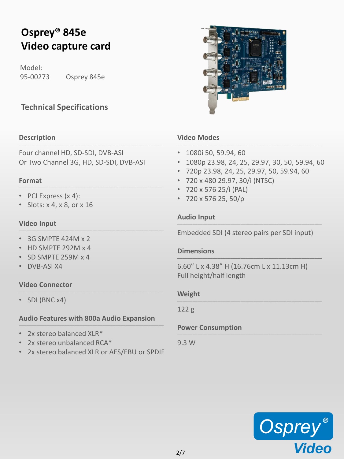# **Osprey® 845e Video capture card**

Model: 95-00273 Osprey 845e

### **Technical Specifications**

### **Description** \_\_\_\_\_\_\_\_\_\_\_\_\_\_\_\_\_\_\_\_\_\_\_\_\_\_\_\_\_\_\_\_\_\_\_\_\_\_\_\_\_\_\_\_\_\_\_\_\_\_\_\_\_\_\_\_\_

Four channel HD, SD-SDI, DVB-ASI Or Two Channel 3G, HD, SD-SDI, DVB-ASI

### **Format** \_\_\_\_\_\_\_\_\_\_\_\_\_\_\_\_\_\_\_\_\_\_\_\_\_\_\_\_\_\_\_\_\_\_\_\_\_\_\_\_\_\_\_\_\_\_\_\_\_\_\_\_\_\_\_\_\_

- PCI Express (x 4):
- Slots: x 4, x 8, or x 16

### **Video Input** \_\_\_\_\_\_\_\_\_\_\_\_\_\_\_\_\_\_\_\_\_\_\_\_\_\_\_\_\_\_\_\_\_\_\_\_\_\_\_\_\_\_\_\_\_\_\_\_\_\_\_\_\_\_\_\_\_

- 3G SMPTE 424M x 2
- HD SMPTE 292M x 4
- SD SMPTE 259M x 4
- DVB-ASI X4

### **Video Connector** \_\_\_\_\_\_\_\_\_\_\_\_\_\_\_\_\_\_\_\_\_\_\_\_\_\_\_\_\_\_\_\_\_\_\_\_\_\_\_\_\_\_\_\_\_\_\_\_\_\_\_\_\_\_\_\_\_

• SDI (BNC x4)

### **Audio Features with 800a Audio Expansion** \_\_\_\_\_\_\_\_\_\_\_\_\_\_\_\_\_\_\_\_\_\_\_\_\_\_\_\_\_\_\_\_\_\_\_\_\_\_\_\_\_\_\_\_\_\_\_\_\_\_\_\_\_\_\_\_\_

- 2x stereo balanced XLR\*
- 2x stereo unbalanced RCA\*
- 2x stereo balanced XLR or AES/EBU or SPDIF



### **Video Modes** \_\_\_\_\_\_\_\_\_\_\_\_\_\_\_\_\_\_\_\_\_\_\_\_\_\_\_\_\_\_\_\_\_\_\_\_\_\_\_\_\_\_\_\_\_\_\_\_\_\_\_\_\_\_\_\_\_

- 1080i 50, 59.94, 60
- 1080p 23.98, 24, 25, 29.97, 30, 50, 59.94, 60
- 720p 23.98, 24, 25, 29.97, 50, 59.94, 60
- 720 x 480 29.97, 30/i (NTSC)
- 720 x 576 25/i (PAL)
- 720 x 576 25, 50/p

### **Audio Input** \_\_\_\_\_\_\_\_\_\_\_\_\_\_\_\_\_\_\_\_\_\_\_\_\_\_\_\_\_\_\_\_\_\_\_\_\_\_\_\_\_\_\_\_\_\_\_\_\_\_\_\_\_\_\_\_\_

Embedded SDI (4 stereo pairs per SDI input)

### **Dimensions** \_\_\_\_\_\_\_\_\_\_\_\_\_\_\_\_\_\_\_\_\_\_\_\_\_\_\_\_\_\_\_\_\_\_\_\_\_\_\_\_\_\_\_\_\_\_\_\_\_\_\_\_\_\_\_\_\_

6.60" L x 4.38" H (16.76cm L x 11.13cm H) Full height/half length

### **Weight** \_\_\_\_\_\_\_\_\_\_\_\_\_\_\_\_\_\_\_\_\_\_\_\_\_\_\_\_\_\_\_\_\_\_\_\_\_\_\_\_\_\_\_\_\_\_\_\_\_\_\_\_\_\_\_\_\_

122 g

### **Power Consumption** \_\_\_\_\_\_\_\_\_\_\_\_\_\_\_\_\_\_\_\_\_\_\_\_\_\_\_\_\_\_\_\_\_\_\_\_\_\_\_\_\_\_\_\_\_\_\_\_\_\_\_\_\_\_\_\_\_

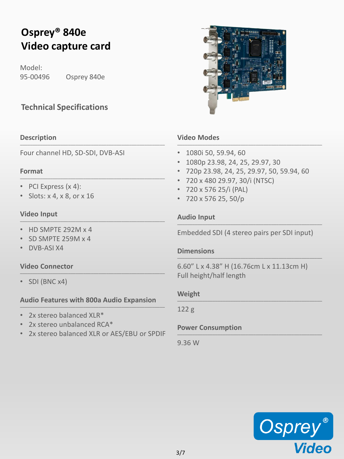# **Osprey® 840e Video capture card**

Model: 95-00496 Osprey 840e

### **Technical Specifications**

### **Description** \_\_\_\_\_\_\_\_\_\_\_\_\_\_\_\_\_\_\_\_\_\_\_\_\_\_\_\_\_\_\_\_\_\_\_\_\_\_\_\_\_\_\_\_\_\_\_\_\_\_\_\_\_\_\_\_\_

Four channel HD, SD-SDI, DVB-ASI

### **Format**  $\_$  , and the set of the set of the set of the set of the set of the set of the set of the set of the set of the set of the set of the set of the set of the set of the set of the set of the set of the set of the set of th

- PCI Express (x 4):
- Slots: x 4, x 8, or x 16

### **Video Input** \_\_\_\_\_\_\_\_\_\_\_\_\_\_\_\_\_\_\_\_\_\_\_\_\_\_\_\_\_\_\_\_\_\_\_\_\_\_\_\_\_\_\_\_\_\_\_\_\_\_\_\_\_\_\_\_\_

- HD SMPTE 292M x 4
- SD SMPTE 259M x 4
- DVB-ASI X4

### **Video Connector** \_\_\_\_\_\_\_\_\_\_\_\_\_\_\_\_\_\_\_\_\_\_\_\_\_\_\_\_\_\_\_\_\_\_\_\_\_\_\_\_\_\_\_\_\_\_\_\_\_\_\_\_\_\_\_\_\_

• SDI (BNC x4)

### **Audio Features with 800a Audio Expansion** \_\_\_\_\_\_\_\_\_\_\_\_\_\_\_\_\_\_\_\_\_\_\_\_\_\_\_\_\_\_\_\_\_\_\_\_\_\_\_\_\_\_\_\_\_\_\_\_\_\_\_\_\_\_\_\_\_

- 2x stereo balanced XLR\*
- 2x stereo unbalanced RCA\*
- 2x stereo balanced XLR or AES/EBU or SPDIF



### **Video Modes** \_\_\_\_\_\_\_\_\_\_\_\_\_\_\_\_\_\_\_\_\_\_\_\_\_\_\_\_\_\_\_\_\_\_\_\_\_\_\_\_\_\_\_\_\_\_\_\_\_\_\_\_\_\_\_\_\_

- 1080i 50, 59.94, 60
- 1080p 23.98, 24, 25, 29.97, 30
- 720p 23.98, 24, 25, 29.97, 50, 59.94, 60
- 720 x 480 29.97, 30/i (NTSC)
- 720 x 576 25/i (PAL)
- 720 x 576 25, 50/p

### **Audio Input** \_\_\_\_\_\_\_\_\_\_\_\_\_\_\_\_\_\_\_\_\_\_\_\_\_\_\_\_\_\_\_\_\_\_\_\_\_\_\_\_\_\_\_\_\_\_\_\_\_\_\_\_\_\_\_\_\_

Embedded SDI (4 stereo pairs per SDI input)

### **Dimensions** \_\_\_\_\_\_\_\_\_\_\_\_\_\_\_\_\_\_\_\_\_\_\_\_\_\_\_\_\_\_\_\_\_\_\_\_\_\_\_\_\_\_\_\_\_\_\_\_\_\_\_\_\_\_\_\_\_

6.60" L x 4.38" H (16.76cm L x 11.13cm H) Full height/half length

### **Weight** \_\_\_\_\_\_\_\_\_\_\_\_\_\_\_\_\_\_\_\_\_\_\_\_\_\_\_\_\_\_\_\_\_\_\_\_\_\_\_\_\_\_\_\_\_\_\_\_\_\_\_\_\_\_\_\_\_

122 g

### **Power Consumption** \_\_\_\_\_\_\_\_\_\_\_\_\_\_\_\_\_\_\_\_\_\_\_\_\_\_\_\_\_\_\_\_\_\_\_\_\_\_\_\_\_\_\_\_\_\_\_\_\_\_\_\_\_\_\_\_\_

9.36 W

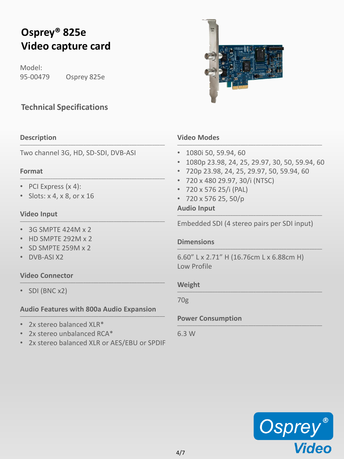# **Osprey® 825e Video capture card**

Model: 95-00479 Osprey 825e

## **Technical Specifications**

### **Description** \_\_\_\_\_\_\_\_\_\_\_\_\_\_\_\_\_\_\_\_\_\_\_\_\_\_\_\_\_\_\_\_\_\_\_\_\_\_\_\_\_\_\_\_\_\_\_\_\_\_\_\_\_\_\_\_\_

Two channel 3G, HD, SD-SDI, DVB-ASI

### **Format**  $\_$  , and the set of the set of the set of the set of the set of the set of the set of the set of the set of the set of the set of the set of the set of the set of the set of the set of the set of the set of the set of th

- PCI Express (x 4):
- Slots: x 4, x 8, or x 16

### **Video Input** \_\_\_\_\_\_\_\_\_\_\_\_\_\_\_\_\_\_\_\_\_\_\_\_\_\_\_\_\_\_\_\_\_\_\_\_\_\_\_\_\_\_\_\_\_\_\_\_\_\_\_\_\_\_\_\_\_

- 3G SMPTE 424M x 2
- HD SMPTE 292M x 2
- SD SMPTE 259M x 2
- DVB-ASI X2

### **Video Connector** \_\_\_\_\_\_\_\_\_\_\_\_\_\_\_\_\_\_\_\_\_\_\_\_\_\_\_\_\_\_\_\_\_\_\_\_\_\_\_\_\_\_\_\_\_\_\_\_\_\_\_\_\_\_\_\_\_

• SDI (BNC x2)

### **Audio Features with 800a Audio Expansion** \_\_\_\_\_\_\_\_\_\_\_\_\_\_\_\_\_\_\_\_\_\_\_\_\_\_\_\_\_\_\_\_\_\_\_\_\_\_\_\_\_\_\_\_\_\_\_\_\_\_\_\_\_\_\_\_\_

- 2x stereo balanced XLR\*
- 2x stereo unbalanced RCA\*
- 2x stereo balanced XLR or AES/EBU or SPDIF



### **Video Modes** \_\_\_\_\_\_\_\_\_\_\_\_\_\_\_\_\_\_\_\_\_\_\_\_\_\_\_\_\_\_\_\_\_\_\_\_\_\_\_\_\_\_\_\_\_\_\_\_\_\_\_\_\_\_\_\_\_

- 1080i 50, 59.94, 60
- 1080p 23.98, 24, 25, 29.97, 30, 50, 59.94, 60
- 720p 23.98, 24, 25, 29.97, 50, 59.94, 60
- 720 x 480 29.97, 30/i (NTSC)
- 720 x 576 25/i (PAL)
- 720 x 576 25, 50/p

### **Audio Input** \_\_\_\_\_\_\_\_\_\_\_\_\_\_\_\_\_\_\_\_\_\_\_\_\_\_\_\_\_\_\_\_\_\_\_\_\_\_\_\_\_\_\_\_\_\_\_\_\_\_\_\_\_\_\_\_\_

Embedded SDI (4 stereo pairs per SDI input)

### **Dimensions** \_\_\_\_\_\_\_\_\_\_\_\_\_\_\_\_\_\_\_\_\_\_\_\_\_\_\_\_\_\_\_\_\_\_\_\_\_\_\_\_\_\_\_\_\_\_\_\_\_\_\_\_\_\_\_\_\_

6.60" L x 2.71" H (16.76cm L x 6.88cm H) Low Profile

### **Weight** \_\_\_\_\_\_\_\_\_\_\_\_\_\_\_\_\_\_\_\_\_\_\_\_\_\_\_\_\_\_\_\_\_\_\_\_\_\_\_\_\_\_\_\_\_\_\_\_\_\_\_\_\_\_\_\_\_

70g

### **Power Consumption** \_\_\_\_\_\_\_\_\_\_\_\_\_\_\_\_\_\_\_\_\_\_\_\_\_\_\_\_\_\_\_\_\_\_\_\_\_\_\_\_\_\_\_\_\_\_\_\_\_\_\_\_\_\_\_\_\_

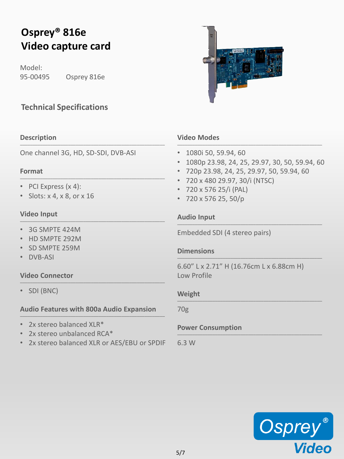# **Osprey® 816e Video capture card**

Model: 95-00495 Osprey 816e

### **Technical Specifications**

### **Description** \_\_\_\_\_\_\_\_\_\_\_\_\_\_\_\_\_\_\_\_\_\_\_\_\_\_\_\_\_\_\_\_\_\_\_\_\_\_\_\_\_\_\_\_\_\_\_\_\_\_\_\_\_\_\_\_\_

One channel 3G, HD, SD-SDI, DVB-ASI

### **Format**  $\_$  , and the set of the set of the set of the set of the set of the set of the set of the set of the set of the set of the set of the set of the set of the set of the set of the set of the set of the set of the set of th

- PCI Express (x 4):
- Slots: x 4, x 8, or x 16

### **Video Input** \_\_\_\_\_\_\_\_\_\_\_\_\_\_\_\_\_\_\_\_\_\_\_\_\_\_\_\_\_\_\_\_\_\_\_\_\_\_\_\_\_\_\_\_\_\_\_\_\_\_\_\_\_\_\_\_\_

- 3G SMPTE 424M
- HD SMPTE 292M
- SD SMPTE 259M
- DVB-ASI

### **Video Connector** \_\_\_\_\_\_\_\_\_\_\_\_\_\_\_\_\_\_\_\_\_\_\_\_\_\_\_\_\_\_\_\_\_\_\_\_\_\_\_\_\_\_\_\_\_\_\_\_\_\_\_\_\_\_\_\_\_

• SDI (BNC)

## **Audio Features with 800a Audio Expansion** \_\_\_\_\_\_\_\_\_\_\_\_\_\_\_\_\_\_\_\_\_\_\_\_\_\_\_\_\_\_\_\_\_\_\_\_\_\_\_\_\_\_\_\_\_\_\_\_\_\_\_\_\_\_\_\_\_

- 2x stereo balanced XLR\*
- 2x stereo unbalanced RCA\*
- 2x stereo balanced XLR or AES/EBU or SPDIF



### **Video Modes** \_\_\_\_\_\_\_\_\_\_\_\_\_\_\_\_\_\_\_\_\_\_\_\_\_\_\_\_\_\_\_\_\_\_\_\_\_\_\_\_\_\_\_\_\_\_\_\_\_\_\_\_\_\_\_\_\_

- 1080i 50, 59.94, 60
- 1080p 23.98, 24, 25, 29.97, 30, 50, 59.94, 60
- 720p 23.98, 24, 25, 29.97, 50, 59.94, 60
- 720 x 480 29.97, 30/i (NTSC)
- 720 x 576 25/i (PAL)
- 720 x 576 25, 50/p

### **Audio Input** \_\_\_\_\_\_\_\_\_\_\_\_\_\_\_\_\_\_\_\_\_\_\_\_\_\_\_\_\_\_\_\_\_\_\_\_\_\_\_\_\_\_\_\_\_\_\_\_\_\_\_\_\_\_\_\_\_

Embedded SDI (4 stereo pairs)

### **Dimensions** \_\_\_\_\_\_\_\_\_\_\_\_\_\_\_\_\_\_\_\_\_\_\_\_\_\_\_\_\_\_\_\_\_\_\_\_\_\_\_\_\_\_\_\_\_\_\_\_\_\_\_\_\_\_\_\_\_

6.60" L x 2.71" H (16.76cm L x 6.88cm H) Low Profile

### **Weight** \_\_\_\_\_\_\_\_\_\_\_\_\_\_\_\_\_\_\_\_\_\_\_\_\_\_\_\_\_\_\_\_\_\_\_\_\_\_\_\_\_\_\_\_\_\_\_\_\_\_\_\_\_\_\_\_\_

70g

### **Power Consumption** \_\_\_\_\_\_\_\_\_\_\_\_\_\_\_\_\_\_\_\_\_\_\_\_\_\_\_\_\_\_\_\_\_\_\_\_\_\_\_\_\_\_\_\_\_\_\_\_\_\_\_\_\_\_\_\_\_

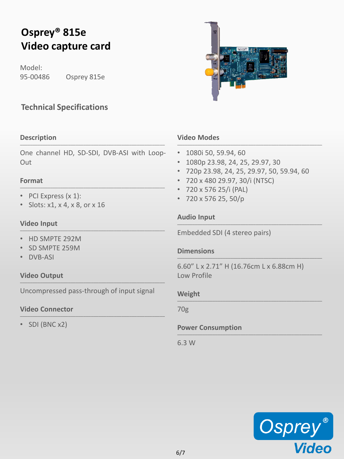# **Osprey® 815e Video capture card**

Model: 95-00486 Osprey 815e

### **Technical Specifications**

### **Description** \_\_\_\_\_\_\_\_\_\_\_\_\_\_\_\_\_\_\_\_\_\_\_\_\_\_\_\_\_\_\_\_\_\_\_\_\_\_\_\_\_\_\_\_\_\_\_\_\_\_\_\_\_\_\_\_\_

One channel HD, SD-SDI, DVB-ASI with Loop-Out

### **Format** \_\_\_\_\_\_\_\_\_\_\_\_\_\_\_\_\_\_\_\_\_\_\_\_\_\_\_\_\_\_\_\_\_\_\_\_\_\_\_\_\_\_\_\_\_\_\_\_\_\_\_\_\_\_\_\_\_

- PCI Express (x 1):
- Slots: x1, x 4, x 8, or x 16

### **Video Input** \_\_\_\_\_\_\_\_\_\_\_\_\_\_\_\_\_\_\_\_\_\_\_\_\_\_\_\_\_\_\_\_\_\_\_\_\_\_\_\_\_\_\_\_\_\_\_\_\_\_\_\_\_\_\_\_\_

- HD SMPTE 292M
- SD SMPTE 259M
- DVB-ASI

### **Video Output** \_\_\_\_\_\_\_\_\_\_\_\_\_\_\_\_\_\_\_\_\_\_\_\_\_\_\_\_\_\_\_\_\_\_\_\_\_\_\_\_\_\_\_\_\_\_\_\_\_\_\_\_\_\_\_\_\_

Uncompressed pass-through of input signal

### **Video Connector** \_\_\_\_\_\_\_\_\_\_\_\_\_\_\_\_\_\_\_\_\_\_\_\_\_\_\_\_\_\_\_\_\_\_\_\_\_\_\_\_\_\_\_\_\_\_\_\_\_\_\_\_\_\_\_\_\_

• SDI (BNC x2)

### **Video Modes** \_\_\_\_\_\_\_\_\_\_\_\_\_\_\_\_\_\_\_\_\_\_\_\_\_\_\_\_\_\_\_\_\_\_\_\_\_\_\_\_\_\_\_\_\_\_\_\_\_\_\_\_\_\_\_\_\_

- 1080i 50, 59.94, 60
- 1080p 23.98, 24, 25, 29.97, 30
- 720p 23.98, 24, 25, 29.97, 50, 59.94, 60
- 720 x 480 29.97, 30/i (NTSC)
- 720 x 576 25/i (PAL)
- 720 x 576 25, 50/p

### **Audio Input** \_\_\_\_\_\_\_\_\_\_\_\_\_\_\_\_\_\_\_\_\_\_\_\_\_\_\_\_\_\_\_\_\_\_\_\_\_\_\_\_\_\_\_\_\_\_\_\_\_\_\_\_\_\_\_\_\_

Embedded SDI (4 stereo pairs)

### **Dimensions** \_\_\_\_\_\_\_\_\_\_\_\_\_\_\_\_\_\_\_\_\_\_\_\_\_\_\_\_\_\_\_\_\_\_\_\_\_\_\_\_\_\_\_\_\_\_\_\_\_\_\_\_\_\_\_\_\_

6.60" L x 2.71" H (16.76cm L x 6.88cm H) Low Profile

### **Weight** \_\_\_\_\_\_\_\_\_\_\_\_\_\_\_\_\_\_\_\_\_\_\_\_\_\_\_\_\_\_\_\_\_\_\_\_\_\_\_\_\_\_\_\_\_\_\_\_\_\_\_\_\_\_\_\_\_

70g

### **Power Consumption** \_\_\_\_\_\_\_\_\_\_\_\_\_\_\_\_\_\_\_\_\_\_\_\_\_\_\_\_\_\_\_\_\_\_\_\_\_\_\_\_\_\_\_\_\_\_\_\_\_\_\_\_\_\_\_\_\_